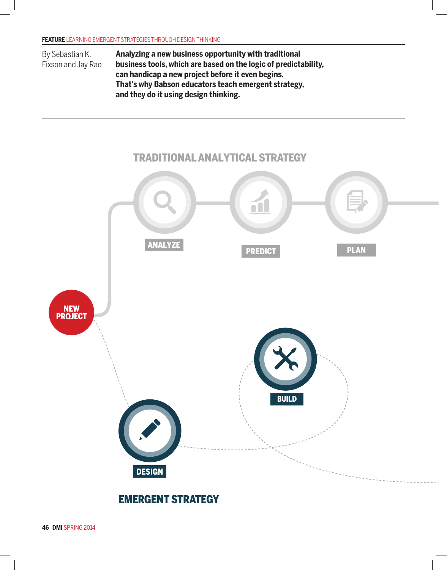By Sebastian K. Fixson and Jay Rao

**Analyzing a new business opportunity with traditional business tools, which are based on the logic of predictability, can handicap a new project before it even begins. That's why Babson educators teach emergent strategy, and they do it using design thinking.**

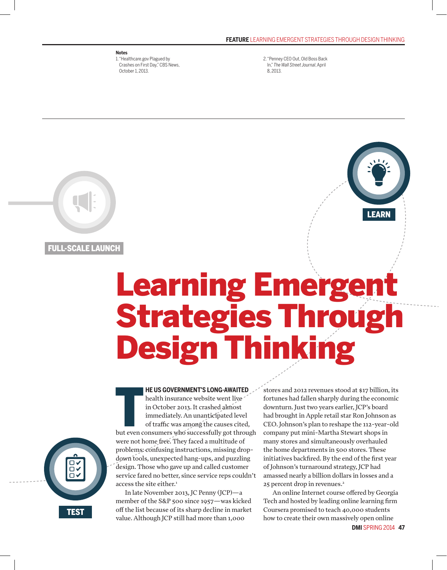#### **Notes**

1. "Healthcare.gov Plagued by Crashes on First Day," CBS News, October 1, 2013.

2. "Penney CEO Out, Old Boss Back In," *The Wall Street Journal*, April 8, 2013.



# **LEARN**

# **Learning Emergent** Strategies Through Design Thinking

#### **he US government 's long -awaited**

health insurance website went live in October 2013. It crashed almost immediately. An unanticipated level of traffic was among the causes cited, but even consumers who successfully got through were not home free. They faced a multitude of problems: confusing instructions, missing dropdown tools, unexpected hang-ups, and puzzling design. Those who gave up and called customer service fared no better, since service reps couldn't access the site either.<sup>1</sup>

In late November 2013, JC Penny (JCP)—a member of the S&P 500 since 1957—was kicked off the list because of its sharp decline in market value. Although JCP still had more than 1,000

HE US GOVERNMENT'S LONG-AWAITED stores and 2012 revenues stood at \$17 billion, its<br>health insurance website went live<br>in October 2013. It crashed almost downturn. Just two years earlier, JCP's board<br>immediately. An unantic fortunes had fallen sharply during the economic downturn. Just two years earlier, JCP's board had brought in Apple retail star Ron Johnson as CEO. Johnson's plan to reshape the 112-year-old company put mini-Martha Stewart shops in many stores and simultaneously overhauled the home departments in 500 stores. These initiatives backfired. By the end of the first year of Johnson's turnaround strategy, JCP had amassed nearly a billion dollars in losses and a 25 percent drop in revenues.<sup>2</sup>

> An online Internet course offered by Georgia Tech and hosted by leading online learning firm Coursera promised to teach 40,000 students how to create their own massively open online

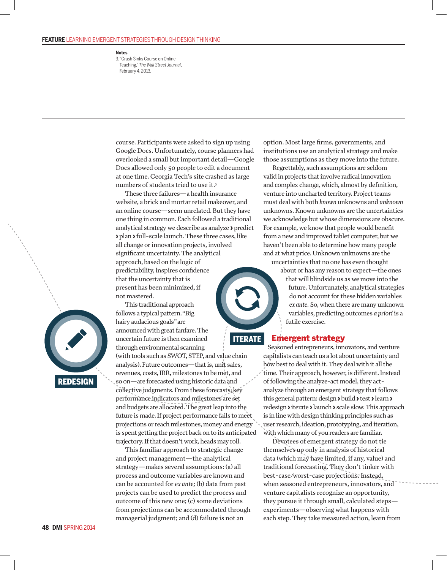#### **Notes**

3. "Crash Sinks Course on Online Teaching," *The Wall Street Journal*, February 4, 2013.

course. Participants were asked to sign up using Google Docs. Unfortunately, course planners had overlooked a small but important detail—Google Docs allowed only 50 people to edit a document at one time. Georgia Tech's site crashed as large numbers of students tried to use it.3

These three failures—a health insurance website, a brick and mortar retail makeover, and an online course—seem unrelated. But they have one thing in common. Each followed a traditional analytical strategy we describe as analyze > predict › plan › full-scale launch. These three cases, like all change or innovation projects, involved significant uncertainty. The analytical approach, based on the logic of predictability, inspires confidence that the uncertainty that is present has been minimized, if not mastered.

This traditional approach follows a typical pattern. "Big hairy audacious goals" are announced with great fanfare. The uncertain future is then examined through environmental scanning

(with tools such as SWOT, STEP, and value chain analysis). Future outcomes—that is, unit sales, revenues, costs, IRR, milestones to be met, and so on—are forecasted using historic data and collective judgments. From these forecasts, key performance indicators and milestones are set and budgets are allocated. The great leap into the future is made. If project performance fails to meet projections or reach milestones, money and energy is spent getting the project back on to its anticipated trajectory. If that doesn't work, heads may roll.

This familiar approach to strategic change and project management—the analytical strategy—makes several assumptions: (a) all process and outcome variables are known and can be accounted for *ex ante;* (b) data from past projects can be used to predict the process and outcome of this new one; (c) some deviations from projections can be accommodated through managerial judgment; and (d) failure is not an

option. Most large firms, governments, and institutions use an analytical strategy and make those assumptions as they move into the future.

Regrettably, such assumptions are seldom valid in projects that involve radical innovation and complex change,which, almost by definition, venture into uncharted territory. Project teams must deal with both *known* unknowns and *unknown* unknowns. Known unknowns are the uncertainties we acknowledge but whose dimensions are obscure. For example, we know that people would benefit from a new and improved tablet computer, but we haven't been able to determine how many people and at what price. Unknown unknowns are the uncertainties that no one has even thought

about or has any reason to expect—the ones that will blindside us as we move into the future. Unfortunately, analytical strategies do not account for these hidden variables *ex ante.* So, when there are many unknown variables, predicting outcomes *a priori* is a futile exercise.

#### Emergent strategy **ITERATE**

Seasoned entrepreneurs, innovators, and venture capitalists can teach us a lot about uncertainty and hów best to deal with it. They deal with it all the time. Their approach, however, is different. Instead of following the analyze-act model, they actanalyze through an emergent strategy that follows this general pattern: design **>** build **>** test **>** learn **>** redesign › iterate › launch › scale slow. This approach is in line with design thinking principles such as user research, ideation, prototyping, and iteration, with which many of you readers are familiar.

Devotees of emergent strategy do not tie themselves up only in analysis of historical data (which may have limited, if any, value) and traditional forecasting. They don't tinker with best-case/worst-case projections. Instead, when seasoned entrepreneurs, innovators, and venture capitalists recognize an opportunity, they pursue it through small, calculated steps experiments—observing what happens with each step. They take measured action, learn from

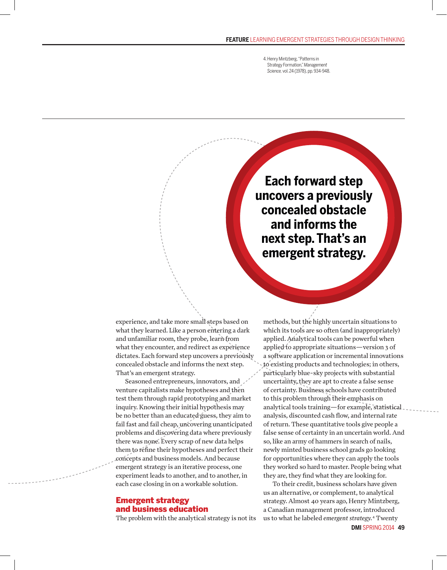4. Henry Mintzberg, "Patterns in Strategy Formation," *Management Science,* vol. 24 (1978), pp. 934-948.

**Each forward step uncovers a previously concealed obstacle and informs the next step. That's an emergent strategy.**

experience, and take more small steps based on what they learned. Like a person entering a dark and unfamiliar room, they probe, learn from what they encounter, and redirect as experience dictates. Each forward step uncovers a previously concealed obstacle and informs the next step. That's an emergent strategy.

Seasoned entrepreneurs, innovators, and venture capitalists make hypotheses and then test them through rapid prototyping and market inquiry. Knowing their initial hypothesis may be no better than an educated guess, they aim to fail fast and fail cheap, uncovering unanticipated problems and discovering data where previously there was none. Every scrap of new data helps them to refine their hypotheses and perfect their concepts and business models. And because emergent strategy is an iterative process, one experiment leads to another, and to another, in each case closing in on a workable solution.

## Emergent strategy and business education

The problem with the analytical strategy is not its

methods, but the highly uncertain situations to which its tools are so often (and inappropriately) applied. Analytical tools can be powerful when applied to appropriate situations—version 3 of a software application or incremental innovations to existing products and technologies; in others, particularly blue-sky projects with substantial uncertainty, they are apt to create a false sense of certainty. Business schools have contributed to this problem through their emphasis on analytical tools training—for example, statistical analysis, discounted cash flow, and internal rate of return. These quantitative tools give people a false sense of certainty in an uncertain world. And so, like an army of hammers in search of nails, newly minted business school grads go looking for opportunities where they can apply the tools they worked so hard to master. People being what they are, they find what they are looking for.

To their credit, business scholars have given us an alternative, or complement, to analytical strategy. Almost 40 years ago, Henry Mintzberg, a Canadian management professor, introduced us to what he labeled *emergent strategy.*<sup>4</sup> Twenty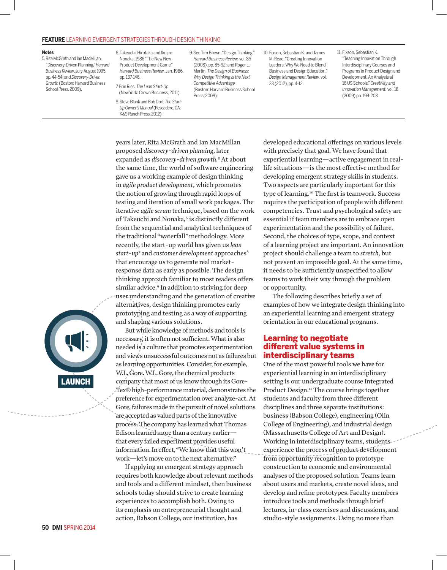#### **Feature** Learning Emergent Strategies Through Design Thinking

#### **Notes**

- 5. Rita McGrath and Ian MacMillan, "Discovery-Driven Planning," *Harvard Business Review*, July-August 1995, pp. 44-54; and *Discovery-Driven Growth* (Boston: Harvard Business School Press, 2009).
- 6. Takeuchi, Hirotaka and Ikujiro Nonaka. 1986 "The New New Product Development Game," *Harvard Business Review,* Jan. 1986, pp. 137-146.
- 7. Eric Ries, *The Lean Start-Up* (New York: Crown Business, 2011).
- 8. Steve Blank and Bob Dorf, *The Start-Up Owner's Manual* (Pescadero, CA: K&S Ranch Press, 2012).
- 9. See Tim Brown, "Design Thinking." *Harvard Business Review,* vol. 86 (2008), pp. 85-92; and Roger L. Martin, *The Design of Business: Why Design Thinking Is the Next Competitive Advantage* (Boston: Harvard Business School Press, 2009).
- 10. Fixson, Sebastian K. and James M. Read. "Creating Innovation Leaders: Why We Need to Blend Business and Design Education." *Design Management Review,* vol. 23 (2012), pp. 4-12.
- 11. Fixson, Sebastian K. "Teaching Innovation Through Interdisciplinary Courses and Programs in Product Design and Development: An Analysis at 16 US Schools." *Creativity and Innovation Management,* vol. 18 (2009) pp. 199-208.

years later, Rita McGrath and Ian MacMillan proposed *discovery-driven planning*, later expanded as *discovery-driven growth.*<sup>5</sup> At about the same time, the world of software engineering gave us a working example of design thinking in *agile product development*, which promotes the notion of growing through rapid loops of testing and iteration of small work packages. The iterative *agile scrum* technique, based on the work of Takeuchi and Nonaka,<sup>6</sup> is distinctly different from the sequential and analytical techniques of the traditional "waterfall" methodology. More recently, the start-up world has given us *lean*  start-up<sup>7</sup> and customer development approaches<sup>8</sup> that encourage us to generate real marketresponse data as early as possible. The design thinking approach familiar to most readers offers similar advice.<sup>9</sup> In addition to striving for deep user understanding and the generation of creative alternatives, design thinking promotes early prototyping and testing as a way of supporting and shaping various solutions.

But while knowledge of methods and tools is necessary, it is often not sufficient. What is also needed is a culture that promotes experimentation and views unsuccessful outcomes not as failures but as learning opportunities. Consider, for example, W.L. Gore. W.L. Gore, the chemical products company that most of us know through its Gore-Tex® high-performance material, demonstrates the preference for experimentation over analyze-act. At Gore, failures made in the pursuit of novel solutions are accepted as valued parts of the innovative process. The company has learned what Thomas Edison learned more than a century earlier that every failed experiment provides useful information. In effect, "We know that this won't work—let's move on to the next alternative."

If applying an emergent strategy approach requires both knowledge about relevant methods and tools and a different mindset, then business schools today should strive to create learning experiences to accomplish both. Owing to its emphasis on entrepreneurial thought and action, Babson College, our institution, has

developed educational offerings on various levels with precisely that goal. We have found that experiential learning—active engagement in reallife situations—is the most effective method for developing emergent strategy skills in students. Two aspects are particularly important for this type of learning.10 The first is teamwork. Success requires the participation of people with different competencies. Trust and psychological safety are essential if team members are to embrace open experimentation and the possibility of failure. Second, the choices of type, scope, and context of a learning project are important. An innovation project should challenge a team to *stretch,* but not present an impossible goal. At the same time, it needs to be sufficiently unspecified to allow teams to work their way through the problem or opportunity.

The following describes briefly a set of examples of how we integrate design thinking into an experiential learning and emergent strategy orientation in our educational programs.

### Learning to negotiate different value systems in interdisciplinary teams

One of the most powerful tools we have for experiential learning in an interdisciplinary setting is our undergraduate course Integrated Product Design.<sup>11</sup> The course brings together students and faculty from three different disciplines and three separate institutions: business (Babson College), engineering (Olin College of Engineering), and industrial design (Massachusetts College of Art and Design). Working in interdisciplinary teams, students experience the process of product development from opportunity recognition to prototype construction to economic and environmental analyses of the proposed solution. Teams learn about users and markets, create novel ideas, and develop and refine prototypes. Faculty members introduce tools and methods through brief lectures, in-class exercises and discussions, and studio-style assignments. Using no more than

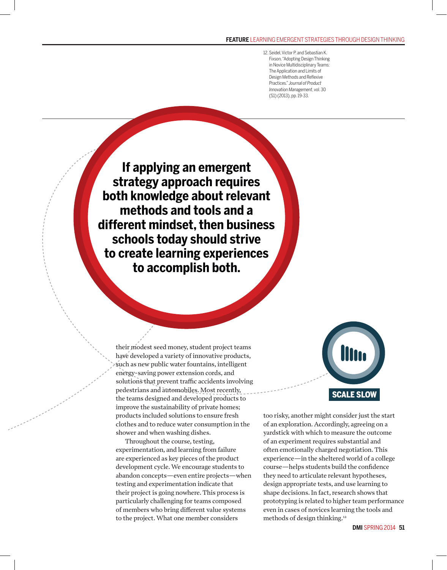#### **Feature** Learning Emergent Strategies Through Design Thinking

12. Seidel, Victor P. and Sebastian K. Fixson. "Adopting Design Thinking in Novice Multidisciplinary Teams: The Application and Limits of Design Methods and Reflexive Practices." *Journal of Product Innovation Management*, vol. 30 (S1) (2013), pp. 19-33.

**If applying an emergent strategy approach requires both knowledge about relevant methods and tools and a different mindset, then business schools today should strive to create learning experiences to accomplish both.**

their modest seed money, student project teams have developed a variety of innovative products, such as new public water fountains, intelligent energy-saving power extension cords, and solutions that prevent traffic accidents involving pedestrians and automobiles. Most recently, the teams designed and developed products to improve the sustainability of private homes; products included solutions to ensure fresh clothes and to reduce water consumption in the shower and when washing dishes.

Throughout the course, testing, experimentation, and learning from failure are experienced as key pieces of the product development cycle. We encourage students to abandon concepts—even entire projects—when testing and experimentation indicate that their project is going nowhere. This process is particularly challenging for teams composed of members who bring different value systems to the project. What one member considers



too risky, another might consider just the start of an exploration. Accordingly, agreeing on a yardstick with which to measure the outcome of an experiment requires substantial and often emotionally charged negotiation. This experience—in the sheltered world of a college course—helps students build the confidence they need to articulate relevant hypotheses, design appropriate tests, and use learning to shape decisions. In fact, research shows that prototyping is related to higher team performance even in cases of novices learning the tools and methods of design thinking.12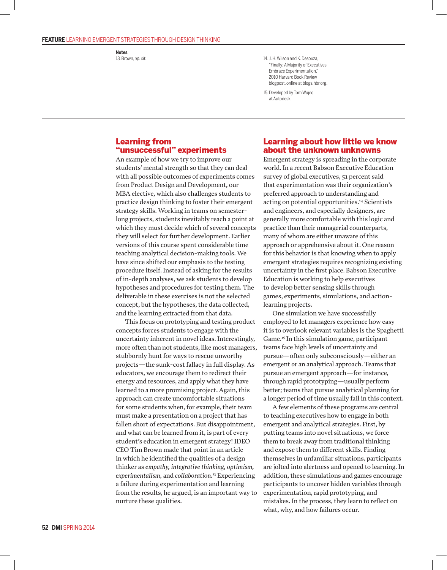**Notes**

13. Brown, *op. cit.* 14. J. H. Wilson and K. Desouza, "Finally: A Majority of Executives Embrace Experimentation," 2010 Harvard Book Review blogpost, online at blogs.hbr.org.

> 15. Developed by Tom Wujec at Autodesk.

# Learning from "unsuccessful" experiments

An example of how we try to improve our students' mental strength so that they can deal with all possible outcomes of experiments comes from Product Design and Development, our MBA elective, which also challenges students to practice design thinking to foster their emergent strategy skills. Working in teams on semesterlong projects, students inevitably reach a point at which they must decide which of several concepts they will select for further development. Earlier versions of this course spent considerable time teaching analytical decision-making tools. We have since shifted our emphasis to the testing procedure itself. Instead of asking for the results of in-depth analyses, we ask students to develop hypotheses and procedures for testing them. The deliverable in these exercises is not the selected concept, but the hypotheses, the data collected, and the learning extracted from that data.

This focus on prototyping and testing product concepts forces students to engage with the uncertainty inherent in novel ideas. Interestingly, more often than not students, like most managers, stubbornly hunt for ways to rescue unworthy projects—the sunk-cost fallacy in full display. As educators, we encourage them to redirect their energy and resources, and apply what they have learned to a more promising project. Again, this approach can create uncomfortable situations for some students when, for example, their team must make a presentation on a project that has fallen short of expectations. But disappointment, and what can be learned from it, is part of every student's education in emergent strategy! IDEO CEO Tim Brown made that point in an article in which he identified the qualities of a design thinker as *empathy, integrative thinking, optimism, experimentalism,* and *collaboration.*13 Experiencing a failure during experimentation and learning from the results, he argued, is an important way to nurture these qualities.

# Learning about how little we know about the unknown unknowns

Emergent strategy is spreading in the corporate world. In a recent Babson Executive Education survey of global executives, 51 percent said that experimentation was their organization's preferred approach to understanding and acting on potential opportunities.14 Scientists and engineers, and especially designers, are generally more comfortable with this logic and practice than their managerial counterparts, many of whom are either unaware of this approach or apprehensive about it. One reason for this behavior is that knowing when to apply emergent strategies requires recognizing existing uncertainty in the first place. Babson Executive Education is working to help executives to develop better sensing skills through games, experiments, simulations, and actionlearning projects.

One simulation we have successfully employed to let managers experience how easy it is to overlook relevant variables is the Spaghetti Game.15 In this simulation game, participant teams face high levels of uncertainty and pursue—often only subconsciously—either an emergent *or* an analytical approach. Teams that pursue an emergent approach—for instance, through rapid prototyping—usually perform better; teams that pursue analytical planning for a longer period of time usually fail in this context.

A few elements of these programs are central to teaching executives how to engage in both emergent and analytical strategies. First, by putting teams into novel situations, we force them to break away from traditional thinking and expose them to different skills. Finding themselves in unfamiliar situations, participants are jolted into alertness and opened to learning. In addition, these simulations and games encourage participants to uncover hidden variables through experimentation, rapid prototyping, and mistakes. In the process, they learn to reflect on what, why, and how failures occur.